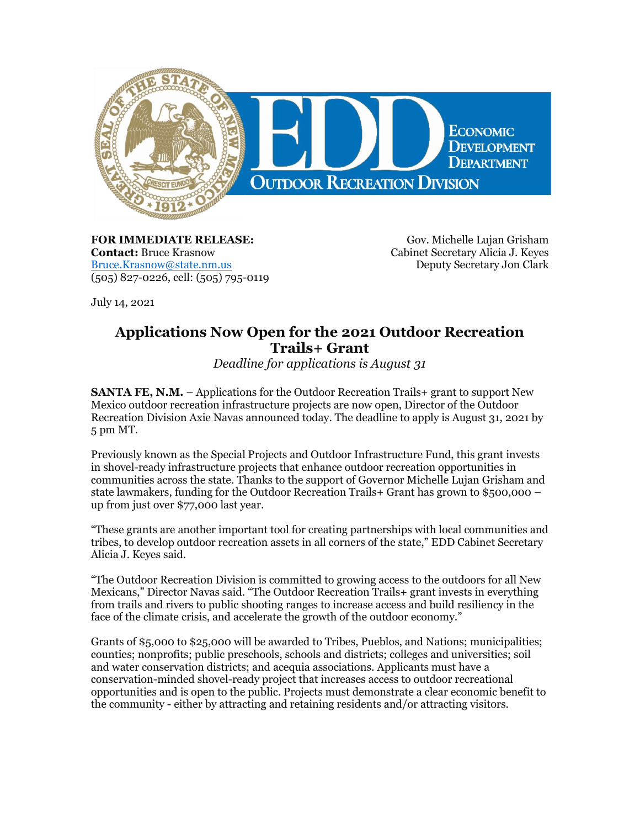

**FOR IMMEDIATE RELEASE: Contact:** Bruce Krasnow [Bruce.Krasnow@state.nm.us](mailto:Bruce.Krasnow@state.nm.us) (505) 827-0226, cell: (505) 795-0119

Gov. Michelle Lujan Grisham Cabinet Secretary Alicia J. Keyes Deputy Secretary Jon Clark

July 14, 2021

## **Applications Now Open for the 2021 Outdoor Recreation Trails+ Grant**

*Deadline for applications is August 31*

**SANTA FE, N.M.** – Applications for the Outdoor Recreation Trails+ grant to support New Mexico outdoor recreation infrastructure projects are now open, Director of the Outdoor Recreation Division Axie Navas announced today. The deadline to apply is August 31, 2021 by 5 pm MT.

Previously known as the Special Projects and Outdoor Infrastructure Fund, this grant invests in shovel-ready infrastructure projects that enhance outdoor recreation opportunities in communities across the state. Thanks to the support of Governor Michelle Lujan Grisham and state lawmakers, funding for the Outdoor Recreation Trails+ Grant has grown to \$500,000 – up from just over \$77,000 last year.

"These grants are another important tool for creating partnerships with local communities and tribes, to develop outdoor recreation assets in all corners of the state," EDD Cabinet Secretary Alicia J. Keyes said.

"The Outdoor Recreation Division is committed to growing access to the outdoors for all New Mexicans," Director Navas said. "The Outdoor Recreation Trails+ grant invests in everything from trails and rivers to public shooting ranges to increase access and build resiliency in the face of the climate crisis, and accelerate the growth of the outdoor economy."

Grants of \$5,000 to \$25,000 will be awarded to Tribes, Pueblos, and Nations; municipalities; counties; nonprofits; public preschools, schools and districts; colleges and universities; soil and water conservation districts; and acequia associations. Applicants must have a conservation-minded shovel-ready project that increases access to outdoor recreational opportunities and is open to the public. Projects must demonstrate a clear economic benefit to the community - either by attracting and retaining residents and/or attracting visitors.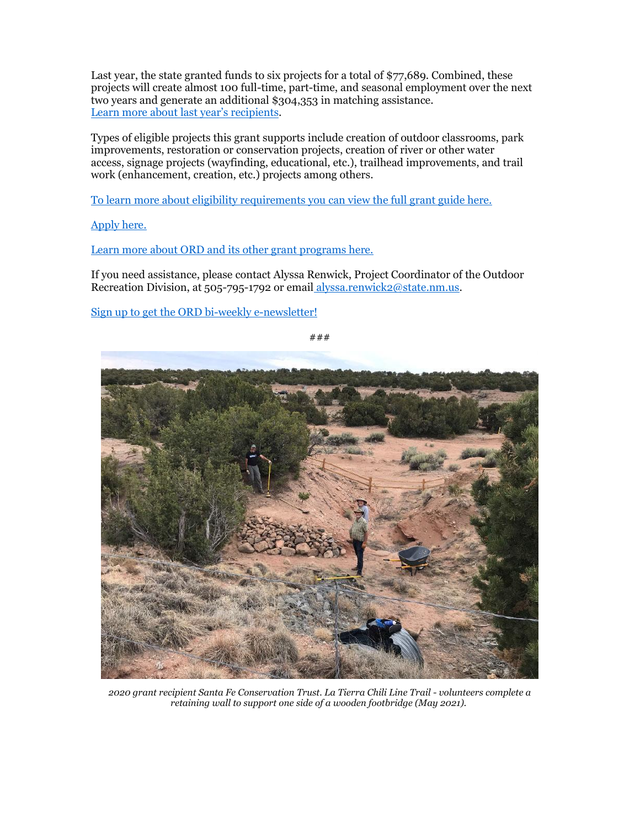Last year, the state granted funds to six projects for a total of \$77,689. Combined, these projects will create almost 100 full-time, part-time, and seasonal employment over the next two years and generate an additional \$304,353 in matching assistance. [Learn more about last year's recipients](https://r20.rs6.net/tn.jsp?f=001XodFPId4OBPkL6CzXL8nFmyewK4EceteAR4RxRw9o6AbfUANG5LPBHtyfHpd_LiIEfulbt3AXPd-M9y6xkdnP47p1nlC1ypwNCTA_d3A5Mh3Jbiz3VI6_VWQKEkcJGQ_k_FO6cjPAcJGxdulGKzrf4HybHGijI3YHdv-W8wgdCnyxLDxAq8mDSa_gKUYHCoThxdCrSRi2u4OlmJRtKq97Rptccc_u-kp&c=drB2Iq6c5IMsDMkS-WDpxaJFv6d8DVkfY-CjvheFW26UGON7q0z94g==&ch=hpNUczkHWbXrkhe9OtmMpoVjpkXkVSQK-s3iP8OGcdtRFy3sLYVjsA==).

Types of eligible projects this grant supports include creation of outdoor classrooms, park improvements, restoration or conservation projects, creation of river or other water access, signage projects (wayfinding, educational, etc.), trailhead improvements, and trail work (enhancement, creation, etc.) projects among others.

[To learn more about eligibility requirements you can view the full grant guide here.](https://r20.rs6.net/tn.jsp?f=001XodFPId4OBPkL6CzXL8nFmyewK4EceteAR4RxRw9o6AbfUANG5LPBON2PYMuwYTwqfTyVcKEyzRDVPbIHPwUIgyDW7PrrDGD1mXAFMMASzgqswSXvLx2a-roRQKcxMDtyZPnx0YohGXJ4WPghmJYVnxYEVxi3wUcsSkTt8qABNEHH6NQVQyeQL8CPFFZUDq3V6D65Lj5j7HuOz3iV8dIBibgXJbFYLo078GOoSf0UbI=&c=drB2Iq6c5IMsDMkS-WDpxaJFv6d8DVkfY-CjvheFW26UGON7q0z94g==&ch=hpNUczkHWbXrkhe9OtmMpoVjpkXkVSQK-s3iP8OGcdtRFy3sLYVjsA==)

[Apply here.](https://r20.rs6.net/tn.jsp?f=001XodFPId4OBPkL6CzXL8nFmyewK4EceteAR4RxRw9o6AbfUANG5LPBPcUekSIf4HAZGRTiXJJnShC6ABruBaviS4EtKpTI-snWGyB56DCnjV28YwbMEryGSbjEO1pckVapYeKxBUvp5ZKvWiMnJR9oXDuug_kFG-rWAsPLk4rq8A=&c=drB2Iq6c5IMsDMkS-WDpxaJFv6d8DVkfY-CjvheFW26UGON7q0z94g==&ch=hpNUczkHWbXrkhe9OtmMpoVjpkXkVSQK-s3iP8OGcdtRFy3sLYVjsA==)

[Learn more about ORD and its other grant programs here.](https://r20.rs6.net/tn.jsp?f=001XodFPId4OBPkL6CzXL8nFmyewK4EceteAR4RxRw9o6AbfUANG5LPBMnGVoPXk27J25lVCoFb0xoPYfmhFDT--gSzvublKC-Ax74bu7xR0jNHU8QVlln2gBifb4tzdE953zCPHMMHFSb2xLerw3e4UYFxhgPUj6VGfVaOTOK8h31kRyhsp3cSYg==&c=drB2Iq6c5IMsDMkS-WDpxaJFv6d8DVkfY-CjvheFW26UGON7q0z94g==&ch=hpNUczkHWbXrkhe9OtmMpoVjpkXkVSQK-s3iP8OGcdtRFy3sLYVjsA==)

If you need assistance, please contact Alyssa Renwick, Project Coordinator of the Outdoor Recreation Division, at 505-795-1792 or email [alyssa.renwick2@state.nm.us.](mailto:alyssa.renwick2@state.nm.us)

[Sign up to get the ORD bi-weekly e-newsletter!](https://r20.rs6.net/tn.jsp?f=001XodFPId4OBPkL6CzXL8nFmyewK4EceteAR4RxRw9o6AbfUANG5LPBL_1Lb5sjXqYTDwg8Jng3fFRa5Esmz4TDSePnvSYvrsXxn-Ysqmy2wb-Rr8GyUUtfIycgL9xTbgQPu5WwUm1K1Ly2ZWQrayrMv7Fngw33jg-&c=drB2Iq6c5IMsDMkS-WDpxaJFv6d8DVkfY-CjvheFW26UGON7q0z94g==&ch=hpNUczkHWbXrkhe9OtmMpoVjpkXkVSQK-s3iP8OGcdtRFy3sLYVjsA==)

###



*2020 grant recipient Santa Fe Conservation Trust. La Tierra Chili Line Trail - volunteers complete a retaining wall to support one side of a wooden footbridge (May 2021).*